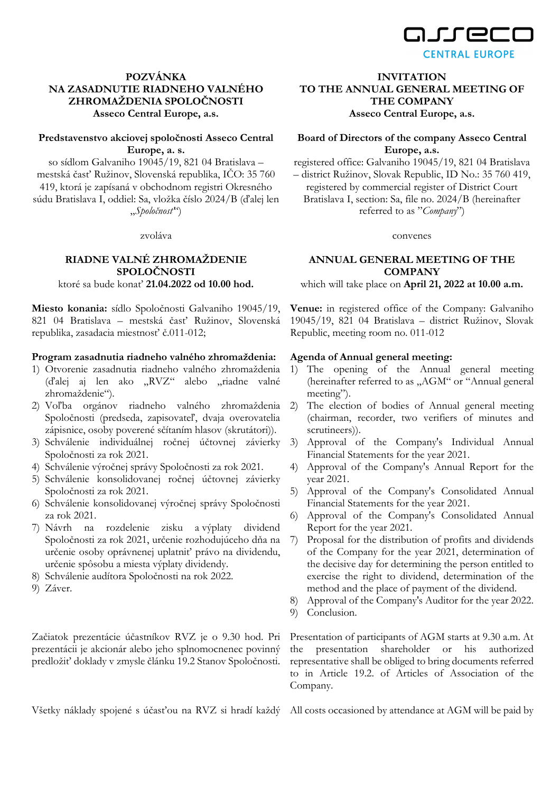

## **POZVÁNKA NA ZASADNUTIE RIADNEHO VALNÉHO ZHROMAŽDENIA SPOLOČNOSTI Asseco Central Europe, a.s.**

### **Predstavenstvo akciovej spoločnosti Asseco Central Europe, a. s.**

so sídlom Galvaniho 19045/19, 821 04 Bratislava – mestská časť Ružinov, Slovenská republika, IČO: 35 760 419, ktorá je zapísaná v obchodnom registri Okresného súdu Bratislava I, oddiel: Sa, vložka číslo 2024/B (ďalej len "*Spoločnosť*")

zvoláva

#### **RIADNE VALNÉ ZHROMAŽDENIE SPOLOČNOSTI**  ktoré sa bude konať **21.04.2022 od 10.00 hod.**

**Miesto konania:** sídlo Spoločnosti Galvaniho 19045/19, 821 04 Bratislava – mestská časť Ružinov, Slovenská republika, zasadacia miestnosť č.011-012;

#### **Program zasadnutia riadneho valného zhromaždenia:**

- 1) Otvorenie zasadnutia riadneho valného zhromaždenia (ďalej aj len ako "RVZ" alebo "riadne valné zhromaždenie").
- 2) Voľba orgánov riadneho valného zhromaždenia Spoločnosti (predseda, zapisovateľ, dvaja overovatelia zápisnice, osoby poverené sčítaním hlasov (skrutátori)).
- 3) Schválenie individuálnej ročnej účtovnej závierky Spoločnosti za rok 2021.
- 4) Schválenie výročnej správy Spoločnosti za rok 2021.
- 5) Schválenie konsolidovanej ročnej účtovnej závierky Spoločnosti za rok 2021.
- 6) Schválenie konsolidovanej výročnej správy Spoločnosti za rok 2021.
- 7) Návrh na rozdelenie zisku a výplaty dividend Spoločnosti za rok 2021, určenie rozhodujúceho dňa na určenie osoby oprávnenej uplatniť právo na dividendu, určenie spôsobu a miesta výplaty dividendy.
- 8) Schválenie audítora Spoločnosti na rok 2022.
- 9) Záver.

**INVITATION TO THE ANNUAL GENERAL MEETING OF THE COMPANY** 

**Asseco Central Europe, a.s.** 

# **Board of Directors of the company Asseco Central Europe, a.s.**

registered office: Galvaniho 19045/19, 821 04 Bratislava

– district Ružinov, Slovak Republic, ID No.: 35 760 419, registered by commercial register of District Court Bratislava I, section: Sa, file no. 2024/B (hereinafter referred to as "*Company*")

convenes

#### **ANNUAL GENERAL MEETING OF THE COMPANY**

which will take place on **April 21, 2022 at 10.00 a.m.** 

**Venue:** in registered office of the Company: Galvaniho 19045/19, 821 04 Bratislava – district Ružinov, Slovak Republic, meeting room no. 011-012

#### **Agenda of Annual general meeting:**

- 1) The opening of the Annual general meeting (hereinafter referred to as "AGM" or "Annual general meeting").
- 2) The election of bodies of Annual general meeting (chairman, recorder, two verifiers of minutes and scrutineers)).
- 3) Approval of the Company's Individual Annual Financial Statements for the year 2021.
- 4) Approval of the Company's Annual Report for the year 2021.
- 5) Approval of the Company's Consolidated Annual Financial Statements for the year 2021.
- 6) Approval of the Company's Consolidated Annual Report for the year 2021.
- 7) Proposal for the distribution of profits and dividends of the Company for the year 2021, determination of the decisive day for determining the person entitled to exercise the right to dividend, determination of the method and the place of payment of the dividend.
- 8) Approval of the Company's Auditor for the year 2022.
- 9) Conclusion.

Začiatok prezentácie účastníkov RVZ je o 9.30 hod. Pri prezentácii je akcionár alebo jeho splnomocnenec povinný predložiť doklady v zmysle článku 19.2 Stanov Spoločnosti.

Všetky náklady spojené s účasťou na RVZ si hradí každý All costs occasioned by attendance at AGM will be paid by

Presentation of participants of AGM starts at 9.30 a.m. At the presentation shareholder or his authorized representative shall be obliged to bring documents referred to in Article 19.2. of Articles of Association of the Company.